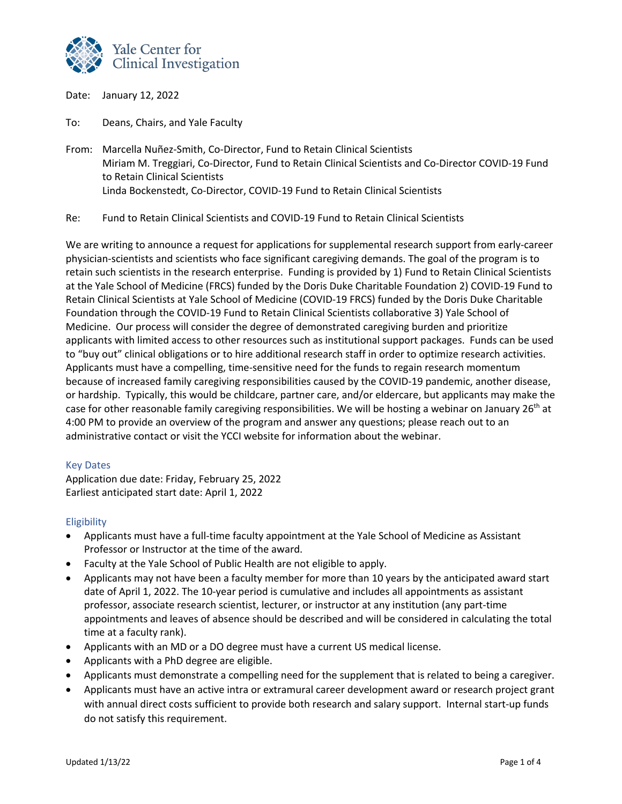

Date: January 12, 2022

To: Deans, Chairs, and Yale Faculty

From: Marcella Nuñez-Smith, Co-Director, Fund to Retain Clinical Scientists Miriam M. Treggiari, Co-Director, Fund to Retain Clinical Scientists and Co-Director COVID-19 Fund to Retain Clinical Scientists Linda Bockenstedt, Co-Director, COVID-19 Fund to Retain Clinical Scientists

Re: Fund to Retain Clinical Scientists and COVID-19 Fund to Retain Clinical Scientists

We are writing to announce a request for applications for supplemental research support from early-career physician-scientists and scientists who face significant caregiving demands. The goal of the program is to retain such scientists in the research enterprise. Funding is provided by 1) Fund to Retain Clinical Scientists at the Yale School of Medicine (FRCS) funded by the Doris Duke Charitable Foundation 2) COVID-19 Fund to Retain Clinical Scientists at Yale School of Medicine (COVID-19 FRCS) funded by the Doris Duke Charitable Foundation through the COVID-19 Fund to Retain Clinical Scientists collaborative 3) Yale School of Medicine. Our process will consider the degree of demonstrated caregiving burden and prioritize applicants with limited access to other resources such as institutional support packages. Funds can be used to "buy out" clinical obligations or to hire additional research staff in order to optimize research activities. Applicants must have a compelling, time-sensitive need for the funds to regain research momentum because of increased family caregiving responsibilities caused by the COVID-19 pandemic, another disease, or hardship. Typically, this would be childcare, partner care, and/or eldercare, but applicants may make the case for other reasonable family caregiving responsibilities. We will be hosting a webinar on January 26<sup>th</sup> at 4:00 PM to provide an overview of the program and answer any questions; please reach out to an administrative contact or visit the YCCI website for information about the webinar.

## Key Dates

Application due date: Friday, February 25, 2022 Earliest anticipated start date: April 1, 2022

## **Eligibility**

- Applicants must have a full-time faculty appointment at the Yale School of Medicine as Assistant Professor or Instructor at the time of the award.
- Faculty at the Yale School of Public Health are not eligible to apply.
- Applicants may not have been a faculty member for more than 10 years by the anticipated award start date of April 1, 2022. The 10-year period is cumulative and includes all appointments as assistant professor, associate research scientist, lecturer, or instructor at any institution (any part-time appointments and leaves of absence should be described and will be considered in calculating the total time at a faculty rank).
- Applicants with an MD or a DO degree must have a current US medical license.
- Applicants with a PhD degree are eligible.
- Applicants must demonstrate a compelling need for the supplement that is related to being a caregiver.
- Applicants must have an active intra or extramural career development award or research project grant with annual direct costs sufficient to provide both research and salary support. Internal start-up funds do not satisfy this requirement.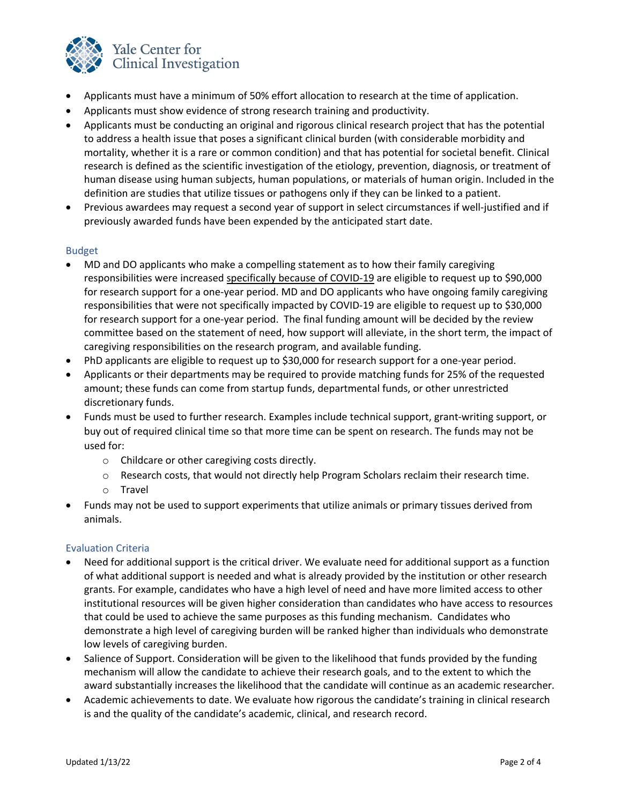

- Applicants must have a minimum of 50% effort allocation to research at the time of application.
- Applicants must show evidence of strong research training and productivity.
- Applicants must be conducting an original and rigorous clinical research project that has the potential to address a health issue that poses a significant clinical burden (with considerable morbidity and mortality, whether it is a rare or common condition) and that has potential for societal benefit. Clinical research is defined as the scientific investigation of the etiology, prevention, diagnosis, or treatment of human disease using human subjects, human populations, or materials of human origin. Included in the definition are studies that utilize tissues or pathogens only if they can be linked to a patient.
- Previous awardees may request a second year of support in select circumstances if well-justified and if previously awarded funds have been expended by the anticipated start date.

# Budget

- MD and DO applicants who make a compelling statement as to how their family caregiving responsibilities were increased specifically because of COVID-19 are eligible to request up to \$90,000 for research support for a one-year period. MD and DO applicants who have ongoing family caregiving responsibilities that were not specifically impacted by COVID-19 are eligible to request up to \$30,000 for research support for a one-year period. The final funding amount will be decided by the review committee based on the statement of need, how support will alleviate, in the short term, the impact of caregiving responsibilities on the research program, and available funding.
- PhD applicants are eligible to request up to \$30,000 for research support for a one-year period.
- Applicants or their departments may be required to provide matching funds for 25% of the requested amount; these funds can come from startup funds, departmental funds, or other unrestricted discretionary funds.
- Funds must be used to further research. Examples include technical support, grant-writing support, or buy out of required clinical time so that more time can be spent on research. The funds may not be used for:
	- o Childcare or other caregiving costs directly.
	- o Research costs, that would not directly help Program Scholars reclaim their research time.
	- o Travel
- Funds may not be used to support experiments that utilize animals or primary tissues derived from animals.

## Evaluation Criteria

- Need for additional support is the critical driver. We evaluate need for additional support as a function of what additional support is needed and what is already provided by the institution or other research grants. For example, candidates who have a high level of need and have more limited access to other institutional resources will be given higher consideration than candidates who have access to resources that could be used to achieve the same purposes as this funding mechanism. Candidates who demonstrate a high level of caregiving burden will be ranked higher than individuals who demonstrate low levels of caregiving burden.
- Salience of Support. Consideration will be given to the likelihood that funds provided by the funding mechanism will allow the candidate to achieve their research goals, and to the extent to which the award substantially increases the likelihood that the candidate will continue as an academic researcher.
- Academic achievements to date. We evaluate how rigorous the candidate's training in clinical research is and the quality of the candidate's academic, clinical, and research record.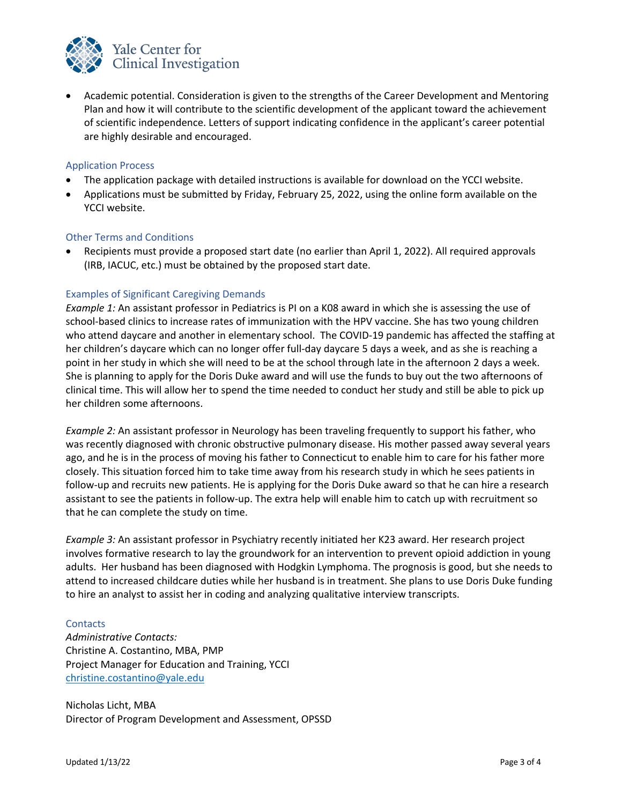

• Academic potential. Consideration is given to the strengths of the Career Development and Mentoring Plan and how it will contribute to the scientific development of the applicant toward the achievement of scientific independence. Letters of support indicating confidence in the applicant's career potential are highly desirable and encouraged.

## Application Process

- The application package with detailed instructions is available for download on the YCCI website.
- Applications must be submitted by Friday, February 25, 2022, using the online form available on the YCCI website.

## Other Terms and Conditions

• Recipients must provide a proposed start date (no earlier than April 1, 2022). All required approvals (IRB, IACUC, etc.) must be obtained by the proposed start date.

# Examples of Significant Caregiving Demands

*Example 1:* An assistant professor in Pediatrics is PI on a K08 award in which she is assessing the use of school-based clinics to increase rates of immunization with the HPV vaccine. She has two young children who attend daycare and another in elementary school. The COVID-19 pandemic has affected the staffing at her children's daycare which can no longer offer full-day daycare 5 days a week, and as she is reaching a point in her study in which she will need to be at the school through late in the afternoon 2 days a week. She is planning to apply for the Doris Duke award and will use the funds to buy out the two afternoons of clinical time. This will allow her to spend the time needed to conduct her study and still be able to pick up her children some afternoons.

*Example 2:* An assistant professor in Neurology has been traveling frequently to support his father, who was recently diagnosed with chronic obstructive pulmonary disease. His mother passed away several years ago, and he is in the process of moving his father to Connecticut to enable him to care for his father more closely. This situation forced him to take time away from his research study in which he sees patients in follow-up and recruits new patients. He is applying for the Doris Duke award so that he can hire a research assistant to see the patients in follow-up. The extra help will enable him to catch up with recruitment so that he can complete the study on time.

*Example 3:* An assistant professor in Psychiatry recently initiated her K23 award. Her research project involves formative research to lay the groundwork for an intervention to prevent opioid addiction in young adults. Her husband has been diagnosed with Hodgkin Lymphoma. The prognosis is good, but she needs to attend to increased childcare duties while her husband is in treatment. She plans to use Doris Duke funding to hire an analyst to assist her in coding and analyzing qualitative interview transcripts.

#### **Contacts**

*Administrative Contacts:*  Christine A. Costantino, MBA, PMP Project Manager for Education and Training, YCCI christine.costantino@yale.edu

Nicholas Licht, MBA Director of Program Development and Assessment, OPSSD